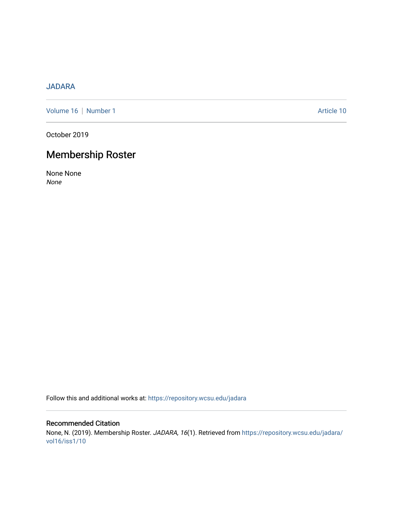# [JADARA](https://repository.wcsu.edu/jadara)

[Volume 16](https://repository.wcsu.edu/jadara/vol16) | [Number 1](https://repository.wcsu.edu/jadara/vol16/iss1) Article 10

October 2019

# Membership Roster

None None None

Follow this and additional works at: [https://repository.wcsu.edu/jadara](https://repository.wcsu.edu/jadara?utm_source=repository.wcsu.edu%2Fjadara%2Fvol16%2Fiss1%2F10&utm_medium=PDF&utm_campaign=PDFCoverPages)

# Recommended Citation None, N. (2019). Membership Roster. JADARA, 16(1). Retrieved from [https://repository.wcsu.edu/jadara/](https://repository.wcsu.edu/jadara/vol16/iss1/10?utm_source=repository.wcsu.edu%2Fjadara%2Fvol16%2Fiss1%2F10&utm_medium=PDF&utm_campaign=PDFCoverPages) [vol16/iss1/10](https://repository.wcsu.edu/jadara/vol16/iss1/10?utm_source=repository.wcsu.edu%2Fjadara%2Fvol16%2Fiss1%2F10&utm_medium=PDF&utm_campaign=PDFCoverPages)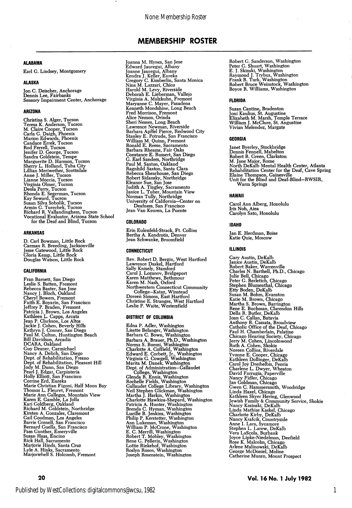# **AI ARAMA**

Earl G. Lindsey, Montgomery

### ALASKA

Jon C. Deischer, Anchorage Dennis Lee, Fairbanks Sensory Impairment Center, Anchorage

### ARIZONA

Christina S. Alger, Tucson<br>Treesa K. Anderson, Tucson<br>M. Claire Cooper, Tucson<br>M. Claire Cooper, Tucson<br>Marion Edwards, Phoenix<br>Narion Edwards, Phoenix<br>Candace Errek, Tucson<br>Jendier D. Harmon, Tucson<br>Marguerite D. Harmon,

### ARKANSAS

D. Carl Bowman, Little Rock Carman R. Breeding, Jacksonville Jesse Catewood, Little Rock Gloria Kemp, Little Rock Douglas Watson, Little Rock

### CALIFORNIA

Fran Barnett, San Diego<br>Leslie S. Batten, Fremont<br>Rebecca Baxten, San Jose<br>Nancy J. Bloch, Oakland<br>Cheryl Bowers, Fremont<br>Faith E. Boyarin, San Francisco<br>Jeffrey P. Braden, Fremont<br>Ratricia J. Brown, Los Angeles<br>Kathleen L Guy Deaner, Carmichael<br>Nancy A. Delich, San Diego<br>Nept. of Rehabilitation, Fresno<br>Dept. of Rehabilitation, Pleasant Hill<br>Jody M. Dunn, San Diego<br>Pearl J. Edgar, Carpinteria<br>Corrine Erd, Eureka<br>Corrine Erd, Eureka<br>Marie Cor Joanna M. Hynes, San Jose<br>Edward Jauregui, Albany<br>Joanne Jauregui, Albany<br>Joanne Jauregui, Albany<br>Gregory C. Kimberlin, Santa Monica<br>Nina M. Lazzari, Chico<br>Hènold M. Levy, Riverside<br>Deborah E. Lieberman, Vallejo<br>Virginia A Freed Morrison, Fremont<br>Alice Nemon, Orinda<br>Sheri Nesses, Long Beach<br>Lawrence Newman, Riverside<br>Barbara Apffel Pierce, Redwood City<br>Stanley E. Potrude, San Francisco<br>William M. Quinn, Fremont<br>Ronald E. Reses, Sacramento<br>Ba

### COLORADO

Erin Eulenfeld-Strack. Ft. Collins Bertha A. Kondrotis, Denver Jean Schwanke, Broomfield

# CONNECTICUT

Rev. Robert D. Bergin, West Hartford<br>Lawrence Daskel, Hartford<br>Sally Knisely, Stamford<br>Sally Knisely, Stamford<br>Karen Matthews, Bethmour<br>Karen M. Nash, Oxford<br>Northwestern Connecticut Community<br>College—Kataz, Winstead<br>Doree

### DISTRICT OF COLUMBIA

Edna P. Adler, Washington Lisette Belanger, Washington<br>Barbara C. Bown, Washington Barbara C. Bown, Washington<br>Barbara A. Brauer, Ph.D., Washington<br>Norma S. Buemi, Washington<br>Norma S. Buemi, Washington<br>Charlotte A. Coffield, Washington<br>Edward E. Corbett, Jr., Washington<br>Virginia G. Cowgell, Washington<br>Na Robert C. Shuart, Washington<br>
Peter C. Shuart, Washington<br>
E. J. Skinski, Washington<br>
Raymond J. Trybus, Washington<br>
Frank R. Turk, Washington<br>
Robert Bruce Weinstock, Washington<br>
Boyce R. Williams, Washington

# FLORIDA

Susan Cantine, Bradenton Joni Kaulius, St. Augustine Elizabeth M. Marsh, Temple Terrace William J. McClure, St. Angustine Vivian Melendez, Margate

### GEORGIA

Janet Byerley, Stockbrudge<br>Dennis Fennell, Mabelton<br>Robert R. Green, Clarkston<br>M. Jane Major, Rome<br>North DeKalb Mental Health Center, Atlanta<br>Rehabilitation Center for the Deaf, Cave Spring<br>Elaine Thompson, Gainesville<br>Uni Warm Springs

# HAWAII

Carol Ann Alberg, Honolulu Iris Noh, Aiea Carolyn Sato, Honolulu

### IDAHO

Jan E. Herdman, Boise Katie Quie, Moscow

# ILLINOIS

Gary Austin, DeKalb Janice Austin, DeKalb Robert Baker, Warrenville Charles N. Barthell, Ph.D., Chicago Julie Bell, Chicago Peter C. Berletich, Chicago Stephen Blumenthal, Chicago Etty Boden, DeKalb Susan M. Bohm, Evanston<br>Katie M. Brown, Chicago<br>Martha S. Brown, Darrington<br>Rene E. Bucher, Dekalb<br>Della R. Butler, Dekalb<br>Joan C. Callan, Batavia<br>Anthony R. Cassata, Broadview<br>Tatholor Grice of the Deaf, Chicago<br>Paul H. C Jewish Family & Community Service, Skokie<br>Nancy Kasinski, DeKalb<br>Linda Mathias Kaskel, Chicago<br>Linda Mathias Kaskel, Chicago<br>Charlotte Kirby, DeKalb<br>Nancy Krafcik, Countryside<br>Anne J. Lara, Sycamore<br>Stephen L. Larew, DeKal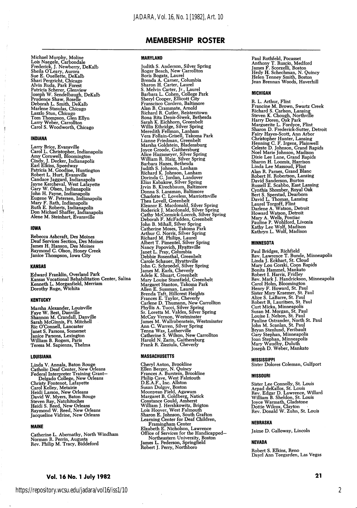Michael Murphy, Moline<br>Lois Naegele, Carbondale<br>Frederick, J. Newberry, DeKalb<br>Sheila O'Leary, Aurora<br>Sue E. Ouellette, DeKalb<br>Shari Pergricht, Chicago<br>Shari Pergricht, Chicago<br>Ashri Rada, Pat Forest<br>Patricia Schere, Clenv

### INDIANA

Larry Brice, Evansville<br>Carol L. Christopher, Indianapolis<br>Amy Cornwell, Bloomington<br>Cindy, J. Decker, Indianapolis<br>Earl Elkins, Speedway<br>Patricia M. Goodine, Huntington<br>Robert L. Hurt, Evansville<br>Candace Jaggard, Indianap

## IOWA

Y

Rebecca Ashcraft, Des Moines Deaf Services Section, Des Moines James H. Hanson, Des Moines Raymond C. Olson, Honey Creek Janice Thompson, Iowa City

### KANSAS

Edward Franklin, Overland Park Kansas Vocational Rehabilitation Center, Salina Kenneth L. Morganfield, Merriam Dorotby Ruge, Wichita

### **KENTUCKY**

Marsha Alexander, Louisville<br>Faye W. Best, Danville<br>Shannon M. Crandall, Danville<br>Sarah McGinnis, Ft. Mitchell<br>Ric O'Connell, Lancaster<br>Janet S. Parsons, Somerset<br>Janice Parsons, Lexington<br>William B. Rogers, Paris<br>Teresa M

### LOUISIANA

Linda V. Annala, Baton Rouge<br>Catholic Deaf Center, New Orleans<br>Federal Interpreter Training Grant—Delgado College, New Orleans<br>Christy Fontenot, Lafayette<br>Carol Kelley, Metairie<br>Carol Kelley, Metairie<br>Heidi Larson, New Orl

### MAINE

Catherine L. Abernathy, North Windham Norman R. Perrin, Augusta Rev. Philip M. Tracy, Biddeford

# Vol. 16 No. 1 July 1982 21

## MARYLAND

Judith S. Anderson, Silver Spring<br>Roger Beach, New Carrollton<br>Boris Beach, New Carrollton<br>Brand A. Canter, Loumbia<br>Sharon H. Carter, Laurel<br>Sharon H. Carter, Laurel<br>Barbara L. Cohen, College Park<br>Sharyl Cooper, Ellicotte G

#### MASSACHUSETTS

Cheryl Anton, Brookline<br>Ellen Berger, N. Quincy<br>Ellen Berger, N. Quincy<br>Prances A. Burstein, Brookline<br>D.E.A.F., Inc. Allston<br>D.E.A.F., Inc. Allston<br>Susan Dulgov, Boston<br>Margaret B. Goldberg, Natick<br>William J. Hershkowitz,

Paul Rothfeld, Pocasset Anthony T. Ruscio, Medford James F. Scorzelli, Boston Hedy H. Schechman, N. Quincy Helen Tenney Smith, Boston Jean Brennan Woods, Haverhill

#### MICHIGAN

R. L. Arthur, Flint<br>Francine M. Brown, Swartz Creek<br>Francine M. Brown, Swartz Creek<br>Richard S. Carlson, Lansing<br>Steven K. Chough, Northville<br>Harry Doren, Oak Park<br>Marguerite L. Fordyce, Flint<br>Sharon D. Frederick-Sutter, De Alan R. Parmes, Grand Blanc<br>Robert H. Robertson, Lansing<br>David Sanderson, Burton<br>Rowsli E. Scabbo, East Lansing<br>Cynthia Shomber, Royal Oak<br>Bert S. Sperstad, Dearborn<br>David L. Thomas, Lansing<br>Laurel Torgoff, Flint<br>David L.

### MINNESOTA

Paul Bridges, Kichrield<br>Rev. Lawrence T. Bunde, Minneapolis<br>Linda J. Eckhart, St. Cloud<br>Mary Lou Gorski, Coon Rapids<br>Bonita Hammel, Mankato<br>Robert I. Harris, Fridley<br>Rev. Mark J. Handrickson, Minneapolis<br>Rev. Mark J. Handr

# MISSISSIPPI

Sister Dolores Coleman, Gulfport

### MISSOURI

Sister Lee Connolly, St. Louis<br>
Arpad deKallos, St. Louis<br>
Rev. Edgar D. Lawrence, Willard<br>
William B. Sheldon, St. Louis<br>
Joyce Warmath, Gladstone<br>
Dottie Wilcox, Clayton<br>
Rev. Donald W. Zuhn, St. Louis

# NEBRASKA

Jaime D. Galloway, Lincoln

## NEVADA

Robert S. Elkins, Reno Dayrl Ann Teegarden, Las Vegas

2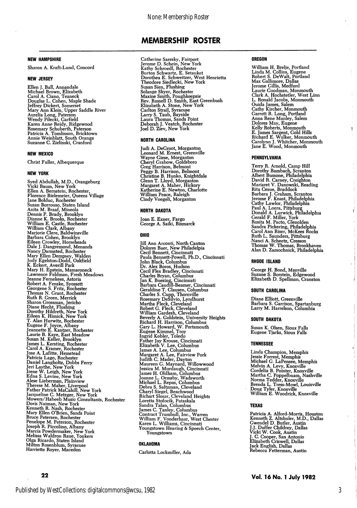# NEW HAMPSHIRE

Sharon A. Kraft-Lund, Concord

# NEW JERSEY

Ellen J. Ball, Annandale<br>Michael Brown, Elizabeth<br>Carol A. Ciano, Teaneck<br>Douglas L. Cohen, Maple Shade<br>Jeffrey Dickert, Somerset<br>Mary Ann Klein, Upper Saddle River<br>Mary Ann Klein, Upper Saddle River<br>Aurelia Long, Paterson

### NEW MEXICO

Christ Fuller, Albequerque

#### NEW YORK

Syed Abdullah, M.D., Orangeburg Vicki Baum, New York Ellen A. Bernstein, Rochester, Florence Bielemeier, Queens Village Jane Bolduc, Rochester<br>Susan Borrouso, Staten Island<br>Susan Borrouso, Staten Island<br>Anita M. Braaf, Mineola<br>Dennis P. Brady, Brooklyn<br>William E. Castle, Rochester<br>William Clark, Albany<br>William Clark, Albany island<br>Barbara C Catherine Saresky, Fairport Jerome D. Schein, New York Kathy Schroedl, Rochester Burton Schwartz, E. Setauket Dorothea E. Schweitzer, West Henrietta Theodore Siedlecki, New York Susan Sien, Piusing<br>Solange Skyer, Rochester<br>Maxine Smith, Poughkeepsie<br>Rev. Russell D. Smith, East Greenbush<br>Elizabeth A. Stone, New York<br>Carlton Strail, Syracuse<br>Laury S. Taub, Bayside<br>Laura Thomas, Sands Point<br>Deborah J

## NORTH CAROLINA

Judi A. DeGroot, Morganton<br>Leonard M. Ernest, Greenville Leonard M. Ernest, Greenville<br>Wayne Giese, Morganton<br>Cheryl Grabow, Goldsboro<br>Creg Harrison, Belmont<br>Feggy B. Harrison, Belmont<br>Christine B. Hunko, Knightdale<br>Clenn T. Lloyd, Morganton<br>Margaret A. Maher, Hickory<br>Katherine

### NORTH DAKOTA

Joan E. Exner, Fargo George A. Saiki, Bismarck

### OHIO

Jill Ann Arconti, North Canton<br>Dolores Baer, New Philadelpia<br>Cecil Bennett, Cincinnati<br>Cecil Bennett, Cincinnati<br>Paula Bennett-Powell, Ph.D., Cincinnati<br>Cecil Piets Bradley, Cincinnati<br>John Black, Columbus<br>Dr. Alex Boros,

### OKLAHOMA

Carlotta Lockmiller, Ada

# OREGON

William H. Brelje, Portland<br>Linda M. Collins, Eugene<br>Robert S. DeWalt, Portland<br>Max Gallimore, Dallas<br>Jerome Gillis, Medford<br>Laurie Goodman, Monmouth Clark A. Hochstetler, West Linn<br>L. Ronald Jacobs, Monmouth<br>L. Ronald James, Salem<br>Cathy Kircher, Monmouth<br>Garrett R. Long, Portland<br>Anna Rene Manley, Salem<br>Dolores May, Eugene<br>Kelly Roberts, Monmouth<br>E. James Sargent, Gold

ł

# PENNSYLVANIA

Terry R. Arnold, Camp Hill<br>Terry R. Arnold, Camp Hill<br>Dorothy Bambach, Scranton<br>Albert Bussone, Philadelphia<br>David R. Camey, Creighton<br>Mariaret V. Danowski, Reading<br>Brabara J. Graham, Scranton<br>Jerome F. Knast, Philadelphia

#### RHODE ISLAND

George H. Bond, Manville Suzane S. Borstein, Edgewood Elizabeth D. Spellman, Cranston

### SOUTH CAROLINA

Diane Elliott, Greenville Barbara S. Garrison, Spartanburg Larry M. Harrelson, Columbia

### SOUTH DAKOTA

Susan K. Olsen, Sioux Falls Eugene Tjarks, Sioux Falls

### TENNESSEE

Linda Champion, Memphis<br>Jessie Forrest, Memphis<br>Michael G. LaPensee, Memphis<br>Melvin A. Levy, Knoxville<br>Cordelia B. Pointer, Knoxville<br>Martha C. Poppelbuam, Nashville<br>Norma Tedder, Knoxville<br>Norma Tedder, Knoxville<br>Doug Tyl

### TEXAS

Patricia A. Alford-Morris, Houston<br>Kenneth Z. Altshuler, M.D., Dallas<br>J.J. Duffer Childrey, Dallas<br>J.J. C. Cooper, San Antonio<br>J. C. Cooper, San Antonio<br>Elizabeth Criswell, Dallas<br>Jack English, Dallas Rebecca Fetterman, Austin